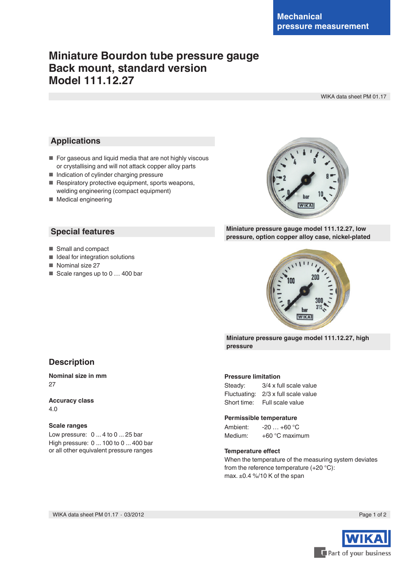# **Miniature Bourdon tube pressure gauge Back mount, standard version Model 111.12.27**

WIKA data sheet PM 01.17

### **Applications**

- For gaseous and liquid media that are not highly viscous or crystallising and will not attack copper alloy parts
- Indication of cylinder charging pressure
- Respiratory protective equipment, sports weapons, welding engineering (compact equipment)
- Medical engineering

### **Special features**

- Small and compact
- Ideal for integration solutions
- Nominal size 27
- Scale ranges up to 0 ... 400 bar



### **Miniature pressure gauge model 111.12.27, low pressure, option copper alloy case, nickel-plated**



**Miniature pressure gauge model 111.12.27, high pressure**

#### **Pressure limitation**

| Steady:      | 3/4 x full scale value |
|--------------|------------------------|
| Fluctuating: | 2/3 x full scale value |
| Short time:  | Full scale value       |

#### **Permissible temperature**

Ambient: -20 … +60 °C Medium: +60 °C maximum

#### **Temperature effect**

When the temperature of the measuring system deviates from the reference temperature (+20 °C): max. ±0.4 %/10 K of the span

WIKA data sheet PM 01.17 ∙ 03/2012



**Description**

**Nominal size in mm** 27

**Accuracy class** 4.0

#### **Scale ranges**

Low pressure: 0 ... 4 to 0 ... 25 bar High pressure: 0 ... 100 to 0 ... 400 bar or all other equivalent pressure ranges

Page 1 of 2